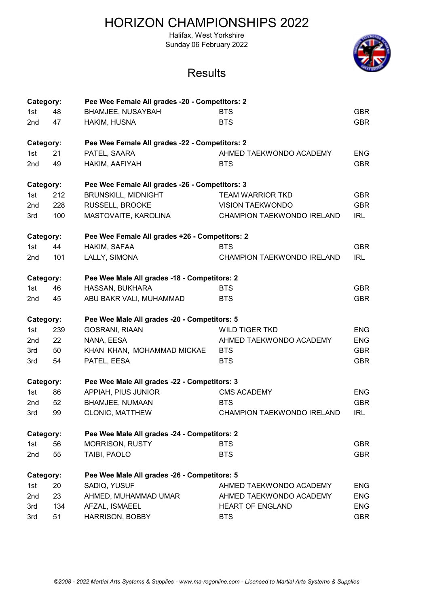Halifax, West Yorkshire Sunday 06 February 2022



| Category:       |     | Pee Wee Female All grades -20 - Competitors: 2 |                                   |            |
|-----------------|-----|------------------------------------------------|-----------------------------------|------------|
| 1st             | 48  | <b>BHAMJEE, NUSAYBAH</b>                       | <b>BTS</b>                        | <b>GBR</b> |
| 2 <sub>nd</sub> | 47  | HAKIM, HUSNA                                   | <b>BTS</b>                        | <b>GBR</b> |
| Category:       |     | Pee Wee Female All grades -22 - Competitors: 2 |                                   |            |
| 1st             | 21  | PATEL, SAARA                                   | AHMED TAEKWONDO ACADEMY           | <b>ENG</b> |
| 2 <sub>nd</sub> | 49  | HAKIM, AAFIYAH                                 | <b>BTS</b>                        | <b>GBR</b> |
| Category:       |     | Pee Wee Female All grades -26 - Competitors: 3 |                                   |            |
| 1st             | 212 | <b>BRUNSKILL, MIDNIGHT</b>                     | <b>TEAM WARRIOR TKD</b>           | <b>GBR</b> |
| 2nd             | 228 | RUSSELL, BROOKE                                | <b>VISION TAEKWONDO</b>           | <b>GBR</b> |
| 3rd             | 100 | MASTOVAITE, KAROLINA                           | CHAMPION TAEKWONDO IRELAND        | <b>IRL</b> |
| Category:       |     | Pee Wee Female All grades +26 - Competitors: 2 |                                   |            |
| 1st             | 44  | HAKIM, SAFAA                                   | <b>BTS</b>                        | <b>GBR</b> |
| 2nd             | 101 | LALLY, SIMONA                                  | <b>CHAMPION TAEKWONDO IRELAND</b> | <b>IRL</b> |
| Category:       |     | Pee Wee Male All grades -18 - Competitors: 2   |                                   |            |
| 1st             | 46  | HASSAN, BUKHARA                                | <b>BTS</b>                        | <b>GBR</b> |
| 2nd             | 45  | ABU BAKR VALI, MUHAMMAD                        | <b>BTS</b>                        | <b>GBR</b> |
| Category:       |     | Pee Wee Male All grades -20 - Competitors: 5   |                                   |            |
| 1st             | 239 | <b>GOSRANI, RIAAN</b>                          | <b>WILD TIGER TKD</b>             | <b>ENG</b> |
| 2nd             | 22  | NANA, EESA                                     | AHMED TAEKWONDO ACADEMY           | <b>ENG</b> |
| 3rd             | 50  | KHAN KHAN, MOHAMMAD MICKAE                     | <b>BTS</b>                        | <b>GBR</b> |
| 3rd             | 54  | PATEL, EESA                                    | <b>BTS</b>                        | <b>GBR</b> |
| Category:       |     | Pee Wee Male All grades -22 - Competitors: 3   |                                   |            |
| 1st             | 86  | APPIAH, PIUS JUNIOR                            | <b>CMS ACADEMY</b>                | <b>ENG</b> |
| 2 <sub>nd</sub> | 52  | <b>BHAMJEE, NUMAAN</b>                         | <b>BTS</b>                        | <b>GBR</b> |
| 3rd             | 99  | <b>CLONIC, MATTHEW</b>                         | <b>CHAMPION TAEKWONDO IRELAND</b> | <b>IRL</b> |
| Category:       |     | Pee Wee Male All grades -24 - Competitors: 2   |                                   |            |
| 1st             | 56  | <b>MORRISON, RUSTY</b>                         | <b>BTS</b>                        | <b>GBR</b> |
| 2nd             | 55  | TAIBI, PAOLO                                   | <b>BTS</b>                        | <b>GBR</b> |
| Category:       |     | Pee Wee Male All grades -26 - Competitors: 5   |                                   |            |
| 1st             | 20  | SADIQ, YUSUF                                   | AHMED TAEKWONDO ACADEMY           | <b>ENG</b> |
| 2nd             | 23  | AHMED, MUHAMMAD UMAR                           | AHMED TAEKWONDO ACADEMY           | <b>ENG</b> |
| 3rd             | 134 | AFZAL, ISMAEEL                                 | <b>HEART OF ENGLAND</b>           | <b>ENG</b> |
| 3rd             | 51  | <b>HARRISON, BOBBY</b>                         | <b>BTS</b>                        | <b>GBR</b> |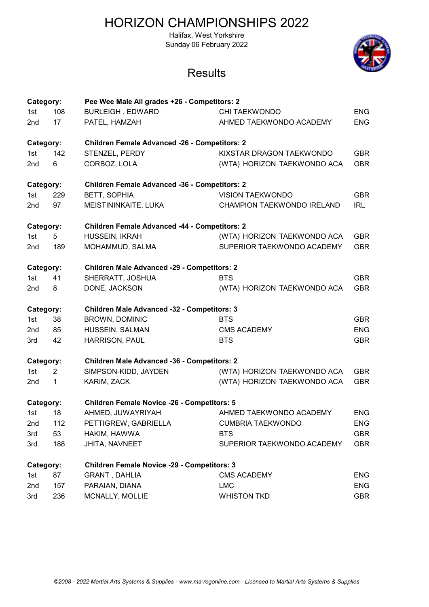Halifax, West Yorkshire Sunday 06 February 2022



| Category:       |                | Pee Wee Male All grades +26 - Competitors: 2         |                             |            |
|-----------------|----------------|------------------------------------------------------|-----------------------------|------------|
| 1st             | 108            | <b>BURLEIGH, EDWARD</b>                              | <b>CHI TAEKWONDO</b>        | <b>ENG</b> |
| 2 <sub>nd</sub> | 17             | PATEL, HAMZAH                                        | AHMED TAEKWONDO ACADEMY     | <b>ENG</b> |
| Category:       |                | <b>Children Female Advanced -26 - Competitors: 2</b> |                             |            |
| 1st             | 142            | STENZEL, PERDY                                       | KIXSTAR DRAGON TAEKWONDO    | <b>GBR</b> |
| 2 <sub>nd</sub> | 6              | CORBOZ, LOLA                                         | (WTA) HORIZON TAEKWONDO ACA | <b>GBR</b> |
| Category:       |                | <b>Children Female Advanced -36 - Competitors: 2</b> |                             |            |
| 1st             | 229            | <b>BETT, SOPHIA</b>                                  | <b>VISION TAEKWONDO</b>     | <b>GBR</b> |
| 2nd             | 97             | MEISTININKAITE, LUKA                                 | CHAMPION TAEKWONDO IRELAND  | <b>IRL</b> |
| Category:       |                | <b>Children Female Advanced -44 - Competitors: 2</b> |                             |            |
| 1st             | 5              | HUSSEIN, IKRAH                                       | (WTA) HORIZON TAEKWONDO ACA | <b>GBR</b> |
| 2 <sub>nd</sub> | 189            | MOHAMMUD, SALMA                                      | SUPERIOR TAEKWONDO ACADEMY  | <b>GBR</b> |
| Category:       |                | <b>Children Male Advanced -29 - Competitors: 2</b>   |                             |            |
| 1st             | 41             | SHERRATT, JOSHUA                                     | <b>BTS</b>                  | <b>GBR</b> |
| 2 <sub>nd</sub> | 8              | DONE, JACKSON                                        | (WTA) HORIZON TAEKWONDO ACA | <b>GBR</b> |
| Category:       |                | <b>Children Male Advanced -32 - Competitors: 3</b>   |                             |            |
| 1st             | 38             | <b>BROWN, DOMINIC</b>                                | <b>BTS</b>                  | <b>GBR</b> |
| 2nd             | 85             | HUSSEIN, SALMAN                                      | <b>CMS ACADEMY</b>          | <b>ENG</b> |
| 3rd             | 42             | HARRISON, PAUL                                       | <b>BTS</b>                  | <b>GBR</b> |
| Category:       |                | <b>Children Male Advanced -36 - Competitors: 2</b>   |                             |            |
| 1st             | $\overline{2}$ | SIMPSON-KIDD, JAYDEN                                 | (WTA) HORIZON TAEKWONDO ACA | <b>GBR</b> |
| 2nd             | 1              | KARIM, ZACK                                          | (WTA) HORIZON TAEKWONDO ACA | <b>GBR</b> |
| Category:       |                | <b>Children Female Novice -26 - Competitors: 5</b>   |                             |            |
| 1st             | 18             | AHMED, JUWAYRIYAH                                    | AHMED TAEKWONDO ACADEMY     | <b>ENG</b> |
| 2nd             | 112            | PETTIGREW, GABRIELLA                                 | <b>CUMBRIA TAEKWONDO</b>    | <b>ENG</b> |
| 3rd             | 53             | HAKIM, HAWWA                                         | <b>BTS</b>                  | <b>GBR</b> |
| 3rd             | 188            | JHITA, NAVNEET                                       | SUPERIOR TAEKWONDO ACADEMY  | <b>GBR</b> |
| Category:       |                | <b>Children Female Novice -29 - Competitors: 3</b>   |                             |            |
| 1st             | 87             | <b>GRANT, DAHLIA</b>                                 | <b>CMS ACADEMY</b>          | <b>ENG</b> |
| 2nd             | 157            | PARAIAN, DIANA                                       | <b>LMC</b>                  | <b>ENG</b> |
| 3rd             | 236            | MCNALLY, MOLLIE                                      | <b>WHISTON TKD</b>          | <b>GBR</b> |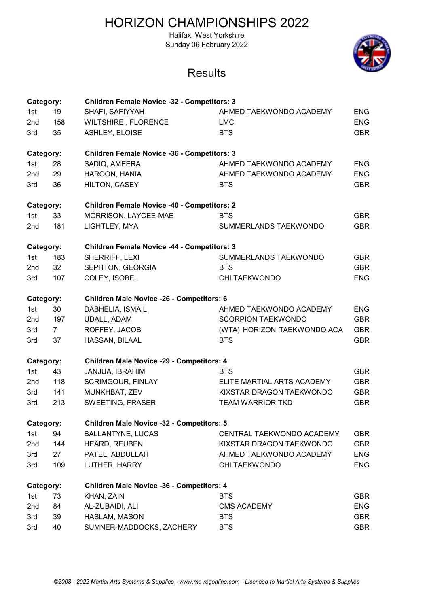Halifax, West Yorkshire Sunday 06 February 2022



| Category:       |             | <b>Children Female Novice -32 - Competitors: 3</b> |                             |            |
|-----------------|-------------|----------------------------------------------------|-----------------------------|------------|
| 1st             | 19          | SHAFI, SAFIYYAH                                    | AHMED TAEKWONDO ACADEMY     | <b>ENG</b> |
| 2nd             | 158         | WILTSHIRE, FLORENCE                                | <b>LMC</b>                  | <b>ENG</b> |
| 3rd             | 35          | ASHLEY, ELOISE                                     | <b>BTS</b>                  | <b>GBR</b> |
| Category:       |             | <b>Children Female Novice -36 - Competitors: 3</b> |                             |            |
| 1st             | 28          | SADIQ, AMEERA                                      | AHMED TAEKWONDO ACADEMY     | <b>ENG</b> |
| 2 <sub>nd</sub> | 29          | HAROON, HANIA                                      | AHMED TAEKWONDO ACADEMY     | <b>ENG</b> |
| 3rd             | 36          | HILTON, CASEY                                      | <b>BTS</b>                  | <b>GBR</b> |
| Category:       |             | <b>Children Female Novice -40 - Competitors: 2</b> |                             |            |
| 1st             | 33          | MORRISON, LAYCEE-MAE                               | <b>BTS</b>                  | <b>GBR</b> |
| 2nd             | 181         | LIGHTLEY, MYA                                      | SUMMERLANDS TAEKWONDO       | <b>GBR</b> |
| Category:       |             | <b>Children Female Novice -44 - Competitors: 3</b> |                             |            |
| 1st             | 183         | SHERRIFF, LEXI                                     | SUMMERLANDS TAEKWONDO       | <b>GBR</b> |
| 2nd             | 32          | SEPHTON, GEORGIA                                   | <b>BTS</b>                  | <b>GBR</b> |
| 3rd             | 107         | COLEY, ISOBEL                                      | <b>CHI TAEKWONDO</b>        | <b>ENG</b> |
| Category:       |             | <b>Children Male Novice -26 - Competitors: 6</b>   |                             |            |
| 1st             | 30          | DABHELIA, ISMAIL                                   | AHMED TAEKWONDO ACADEMY     | <b>ENG</b> |
| 2 <sub>nd</sub> | 197         | <b>UDALL, ADAM</b>                                 | <b>SCORPION TAEKWONDO</b>   | <b>GBR</b> |
| 3rd             | $7^{\circ}$ | ROFFEY, JACOB                                      | (WTA) HORIZON TAEKWONDO ACA | <b>GBR</b> |
| 3rd             | 37          | HASSAN, BILAAL                                     | <b>BTS</b>                  | <b>GBR</b> |
| Category:       |             | <b>Children Male Novice -29 - Competitors: 4</b>   |                             |            |
| 1st             | 43          | JANJUA, IBRAHIM                                    | <b>BTS</b>                  | <b>GBR</b> |
| 2nd             | 118         | <b>SCRIMGOUR, FINLAY</b>                           | ELITE MARTIAL ARTS ACADEMY  | <b>GBR</b> |
| 3rd             | 141         | MUNKHBAT, ZEV                                      | KIXSTAR DRAGON TAEKWONDO    | <b>GBR</b> |
| 3rd             | 213         | SWEETING, FRASER                                   | <b>TEAM WARRIOR TKD</b>     | <b>GBR</b> |
| Category:       |             | <b>Children Male Novice -32 - Competitors: 5</b>   |                             |            |
| 1st             | 94          | <b>BALLANTYNE, LUCAS</b>                           | CENTRAL TAEKWONDO ACADEMY   | <b>GBR</b> |
| 2nd             | 144         | HEARD, REUBEN                                      | KIXSTAR DRAGON TAEKWONDO    | <b>GBR</b> |
| 3rd             | 27          | PATEL, ABDULLAH                                    | AHMED TAEKWONDO ACADEMY     | <b>ENG</b> |
| 3rd             | 109         | LUTHER, HARRY                                      | <b>CHI TAEKWONDO</b>        | <b>ENG</b> |
| Category:       |             | <b>Children Male Novice -36 - Competitors: 4</b>   |                             |            |
| 1st             | 73          | KHAN, ZAIN                                         | <b>BTS</b>                  | <b>GBR</b> |
| 2nd             | 84          | AL-ZUBAIDI, ALI                                    | <b>CMS ACADEMY</b>          | <b>ENG</b> |
| 3rd             | 39          | HASLAM, MASON                                      | <b>BTS</b>                  | <b>GBR</b> |
| 3rd             | 40          | SUMNER-MADDOCKS, ZACHERY                           | <b>BTS</b>                  | <b>GBR</b> |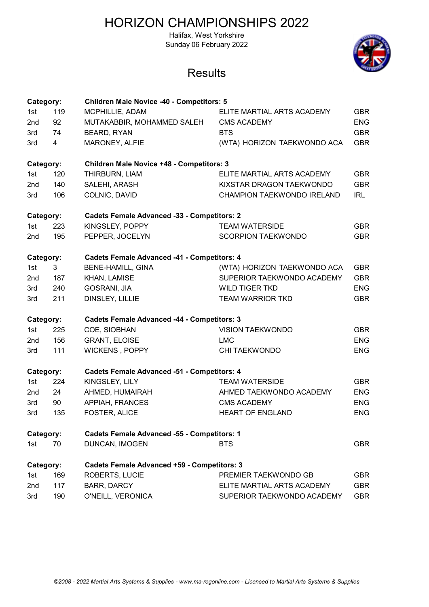Halifax, West Yorkshire Sunday 06 February 2022



| Category:       |     | <b>Children Male Novice -40 - Competitors: 5</b>   |                             |            |
|-----------------|-----|----------------------------------------------------|-----------------------------|------------|
| 1st             | 119 | MCPHILLIE, ADAM                                    | ELITE MARTIAL ARTS ACADEMY  | <b>GBR</b> |
| 2nd             | 92  | MUTAKABBIR, MOHAMMED SALEH                         | <b>CMS ACADEMY</b>          | <b>ENG</b> |
| 3rd             | 74  | <b>BEARD, RYAN</b>                                 | <b>BTS</b>                  | <b>GBR</b> |
| 3rd             | 4   | MARONEY, ALFIE                                     | (WTA) HORIZON TAEKWONDO ACA | <b>GBR</b> |
| Category:       |     | <b>Children Male Novice +48 - Competitors: 3</b>   |                             |            |
| 1st             | 120 | THIRBURN, LIAM                                     | ELITE MARTIAL ARTS ACADEMY  | <b>GBR</b> |
| 2 <sub>nd</sub> | 140 | SALEHI, ARASH                                      | KIXSTAR DRAGON TAEKWONDO    | <b>GBR</b> |
| 3rd             | 106 | COLNIC, DAVID                                      | CHAMPION TAEKWONDO IRELAND  | <b>IRL</b> |
| Category:       |     | <b>Cadets Female Advanced -33 - Competitors: 2</b> |                             |            |
| 1st             | 223 | KINGSLEY, POPPY                                    | <b>TEAM WATERSIDE</b>       | <b>GBR</b> |
| 2nd             | 195 | PEPPER, JOCELYN                                    | <b>SCORPION TAEKWONDO</b>   | <b>GBR</b> |
| Category:       |     | <b>Cadets Female Advanced -41 - Competitors: 4</b> |                             |            |
| 1st             | 3   | <b>BENE-HAMILL, GINA</b>                           | (WTA) HORIZON TAEKWONDO ACA | <b>GBR</b> |
| 2nd             | 187 | KHAN, LAMISE                                       | SUPERIOR TAEKWONDO ACADEMY  | <b>GBR</b> |
| 3rd             | 240 | GOSRANI, JIA                                       | <b>WILD TIGER TKD</b>       | <b>ENG</b> |
| 3rd             | 211 | DINSLEY, LILLIE                                    | <b>TEAM WARRIOR TKD</b>     | <b>GBR</b> |
| Category:       |     | <b>Cadets Female Advanced -44 - Competitors: 3</b> |                             |            |
| 1st             | 225 | COE, SIOBHAN                                       | <b>VISION TAEKWONDO</b>     | <b>GBR</b> |
| 2nd             | 156 | <b>GRANT, ELOISE</b>                               | <b>LMC</b>                  | <b>ENG</b> |
| 3rd             | 111 | WICKENS, POPPY                                     | <b>CHI TAEKWONDO</b>        | <b>ENG</b> |
| Category:       |     | <b>Cadets Female Advanced -51 - Competitors: 4</b> |                             |            |
| 1st             | 224 | KINGSLEY, LILY                                     | <b>TEAM WATERSIDE</b>       | <b>GBR</b> |
| 2nd             | 24  | AHMED, HUMAIRAH                                    | AHMED TAEKWONDO ACADEMY     | <b>ENG</b> |
| 3rd             | 90  | <b>APPIAH, FRANCES</b>                             | <b>CMS ACADEMY</b>          | <b>ENG</b> |
| 3rd             | 135 | FOSTER, ALICE                                      | <b>HEART OF ENGLAND</b>     | <b>ENG</b> |
| Category:       |     | <b>Cadets Female Advanced -55 - Competitors: 1</b> |                             |            |
| 1st             | 70  | DUNCAN, IMOGEN                                     | <b>BTS</b>                  | <b>GBR</b> |
| Category:       |     | <b>Cadets Female Advanced +59 - Competitors: 3</b> |                             |            |
| 1st             | 169 | <b>ROBERTS, LUCIE</b>                              | PREMIER TAEKWONDO GB        | <b>GBR</b> |
| 2nd             | 117 | <b>BARR, DARCY</b>                                 | ELITE MARTIAL ARTS ACADEMY  | <b>GBR</b> |
| 3rd             | 190 | O'NEILL, VERONICA                                  | SUPERIOR TAEKWONDO ACADEMY  | <b>GBR</b> |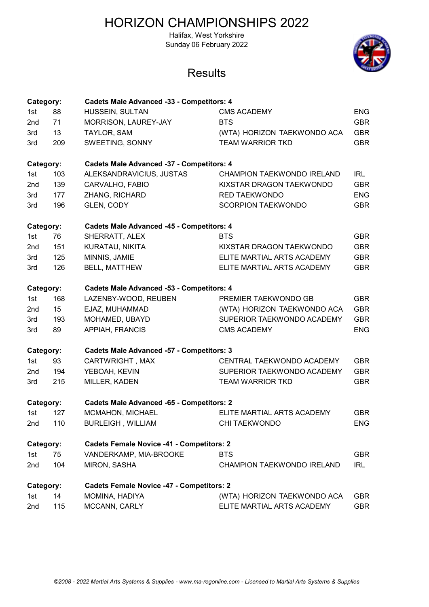Halifax, West Yorkshire Sunday 06 February 2022



| Category:       |     | <b>Cadets Male Advanced -33 - Competitors: 4</b> |                             |            |
|-----------------|-----|--------------------------------------------------|-----------------------------|------------|
| 1st             | 88  | HUSSEIN, SULTAN                                  | <b>CMS ACADEMY</b>          | <b>ENG</b> |
| 2nd             | 71  | MORRISON, LAUREY-JAY                             | <b>BTS</b>                  | <b>GBR</b> |
| 3rd             | 13  | TAYLOR, SAM                                      | (WTA) HORIZON TAEKWONDO ACA | <b>GBR</b> |
| 3rd             | 209 | SWEETING, SONNY                                  | <b>TEAM WARRIOR TKD</b>     | <b>GBR</b> |
| Category:       |     | <b>Cadets Male Advanced -37 - Competitors: 4</b> |                             |            |
| 1st             | 103 | ALEKSANDRAVICIUS, JUSTAS                         | CHAMPION TAEKWONDO IRELAND  | <b>IRL</b> |
| 2 <sub>nd</sub> | 139 | CARVALHO, FABIO                                  | KIXSTAR DRAGON TAEKWONDO    | <b>GBR</b> |
| 3rd             | 177 | ZHANG, RICHARD                                   | <b>RED TAEKWONDO</b>        | <b>ENG</b> |
| 3rd             | 196 | GLEN, CODY                                       | <b>SCORPION TAEKWONDO</b>   | <b>GBR</b> |
| Category:       |     | <b>Cadets Male Advanced -45 - Competitors: 4</b> |                             |            |
| 1st             | 76  | SHERRATT, ALEX                                   | <b>BTS</b>                  | <b>GBR</b> |
| 2nd             | 151 | KURATAU, NIKITA                                  | KIXSTAR DRAGON TAEKWONDO    | <b>GBR</b> |
| 3rd             | 125 | MINNIS, JAMIE                                    | ELITE MARTIAL ARTS ACADEMY  | <b>GBR</b> |
| 3rd             | 126 | <b>BELL, MATTHEW</b>                             | ELITE MARTIAL ARTS ACADEMY  | <b>GBR</b> |
| Category:       |     | <b>Cadets Male Advanced -53 - Competitors: 4</b> |                             |            |
| 1st             | 168 | LAZENBY-WOOD, REUBEN                             | PREMIER TAEKWONDO GB        | <b>GBR</b> |
| 2nd             | 15  | EJAZ, MUHAMMAD                                   | (WTA) HORIZON TAEKWONDO ACA | <b>GBR</b> |
| 3rd             | 193 | MOHAMED, UBAYD                                   | SUPERIOR TAEKWONDO ACADEMY  | <b>GBR</b> |
| 3rd             | 89  | APPIAH, FRANCIS                                  | <b>CMS ACADEMY</b>          | <b>ENG</b> |
| Category:       |     | <b>Cadets Male Advanced -57 - Competitors: 3</b> |                             |            |
| 1st             | 93  | CARTWRIGHT, MAX                                  | CENTRAL TAEKWONDO ACADEMY   | <b>GBR</b> |
| 2nd             | 194 | YEBOAH, KEVIN                                    | SUPERIOR TAEKWONDO ACADEMY  | <b>GBR</b> |
| 3rd             | 215 | MILLER, KADEN                                    | <b>TEAM WARRIOR TKD</b>     | <b>GBR</b> |
| Category:       |     | <b>Cadets Male Advanced -65 - Competitors: 2</b> |                             |            |
| 1st             | 127 | MCMAHON, MICHAEL                                 | ELITE MARTIAL ARTS ACADEMY  | <b>GBR</b> |
| 2nd             | 110 | <b>BURLEIGH, WILLIAM</b>                         | <b>CHI TAEKWONDO</b>        | <b>ENG</b> |
| Category:       |     | <b>Cadets Female Novice -41 - Competitors: 2</b> |                             |            |
| 1st             | 75  | VANDERKAMP, MIA-BROOKE                           | <b>BTS</b>                  | <b>GBR</b> |
| 2nd             | 104 | MIRON, SASHA                                     | CHAMPION TAEKWONDO IRELAND  | IRL        |
| Category:       |     | <b>Cadets Female Novice -47 - Competitors: 2</b> |                             |            |
| 1st             | 14  | MOMINA, HADIYA                                   | (WTA) HORIZON TAEKWONDO ACA | <b>GBR</b> |
| 2nd             | 115 | MCCANN, CARLY                                    | ELITE MARTIAL ARTS ACADEMY  | <b>GBR</b> |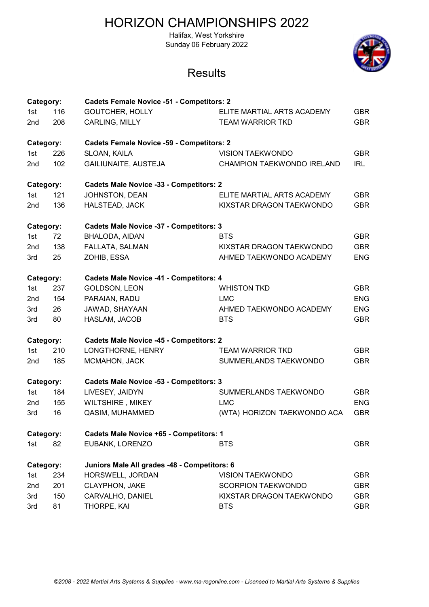Halifax, West Yorkshire Sunday 06 February 2022



| Category:       |     | <b>Cadets Female Novice -51 - Competitors: 2</b> |                             |            |
|-----------------|-----|--------------------------------------------------|-----------------------------|------------|
| 1st             | 116 | <b>GOUTCHER, HOLLY</b>                           | ELITE MARTIAL ARTS ACADEMY  | <b>GBR</b> |
| 2nd             | 208 | CARLING, MILLY                                   | <b>TEAM WARRIOR TKD</b>     | <b>GBR</b> |
| Category:       |     | <b>Cadets Female Novice -59 - Competitors: 2</b> |                             |            |
| 1st             | 226 | SLOAN, KAILA                                     | <b>VISION TAEKWONDO</b>     | <b>GBR</b> |
| 2 <sub>nd</sub> | 102 | GAILIUNAITE, AUSTEJA                             | CHAMPION TAEKWONDO IRELAND  | <b>IRL</b> |
| Category:       |     | <b>Cadets Male Novice -33 - Competitors: 2</b>   |                             |            |
| 1st             | 121 | JOHNSTON, DEAN                                   | ELITE MARTIAL ARTS ACADEMY  | <b>GBR</b> |
| 2nd             | 136 | HALSTEAD, JACK                                   | KIXSTAR DRAGON TAEKWONDO    | <b>GBR</b> |
| Category:       |     | <b>Cadets Male Novice -37 - Competitors: 3</b>   |                             |            |
| 1st             | 72  | <b>BHALODA, AIDAN</b>                            | <b>BTS</b>                  | <b>GBR</b> |
| 2 <sub>nd</sub> | 138 | FALLATA, SALMAN                                  | KIXSTAR DRAGON TAEKWONDO    | <b>GBR</b> |
| 3rd             | 25  | ZOHIB, ESSA                                      | AHMED TAEKWONDO ACADEMY     | <b>ENG</b> |
| Category:       |     | <b>Cadets Male Novice -41 - Competitors: 4</b>   |                             |            |
| 1st             | 237 | GOLDSON, LEON                                    | <b>WHISTON TKD</b>          | <b>GBR</b> |
| 2 <sub>nd</sub> | 154 | PARAIAN, RADU                                    | <b>LMC</b>                  | <b>ENG</b> |
| 3rd             | 26  | JAWAD, SHAYAAN                                   | AHMED TAEKWONDO ACADEMY     | <b>ENG</b> |
| 3rd             | 80  | HASLAM, JACOB                                    | <b>BTS</b>                  | <b>GBR</b> |
| Category:       |     | <b>Cadets Male Novice -45 - Competitors: 2</b>   |                             |            |
| 1st             | 210 | LONGTHORNE, HENRY                                | <b>TEAM WARRIOR TKD</b>     | <b>GBR</b> |
| 2nd             | 185 | MCMAHON, JACK                                    | SUMMERLANDS TAEKWONDO       | <b>GBR</b> |
| Category:       |     | <b>Cadets Male Novice -53 - Competitors: 3</b>   |                             |            |
| 1st             | 184 | LIVESEY, JAIDYN                                  | SUMMERLANDS TAEKWONDO       | <b>GBR</b> |
| 2nd             | 155 | WILTSHIRE, MIKEY                                 | <b>LMC</b>                  | <b>ENG</b> |
| 3rd             | 16  | QASIM, MUHAMMED                                  | (WTA) HORIZON TAEKWONDO ACA | <b>GBR</b> |
| Category:       |     | <b>Cadets Male Novice +65 - Competitors: 1</b>   |                             |            |
| 1st             | 82  | EUBANK, LORENZO                                  | <b>BTS</b>                  | <b>GBR</b> |
| Category:       |     | Juniors Male All grades -48 - Competitors: 6     |                             |            |
| 1st             | 234 | HORSWELL, JORDAN                                 | <b>VISION TAEKWONDO</b>     | <b>GBR</b> |
| 2nd             | 201 | <b>CLAYPHON, JAKE</b>                            | <b>SCORPION TAEKWONDO</b>   | <b>GBR</b> |
| 3rd             | 150 | CARVALHO, DANIEL                                 | KIXSTAR DRAGON TAEKWONDO    | <b>GBR</b> |
| 3rd             | 81  | THORPE, KAI                                      | <b>BTS</b>                  | <b>GBR</b> |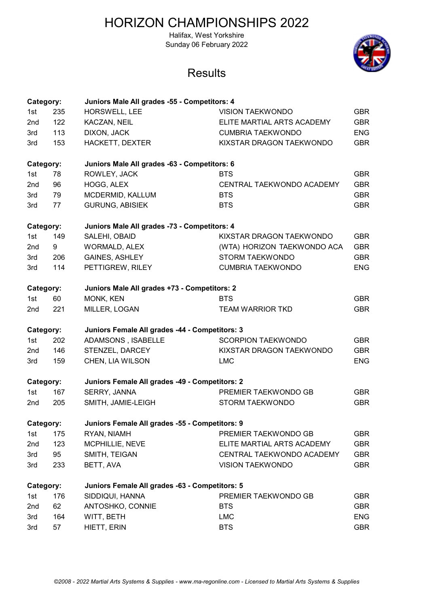Halifax, West Yorkshire Sunday 06 February 2022



| Category:       |     | Juniors Male All grades -55 - Competitors: 4   |                             |            |
|-----------------|-----|------------------------------------------------|-----------------------------|------------|
| 1st             | 235 | HORSWELL, LEE                                  | <b>VISION TAEKWONDO</b>     | <b>GBR</b> |
| 2nd             | 122 | KACZAN, NEIL                                   | ELITE MARTIAL ARTS ACADEMY  | <b>GBR</b> |
| 3rd             | 113 | DIXON, JACK                                    | <b>CUMBRIA TAEKWONDO</b>    | <b>ENG</b> |
| 3rd             | 153 | HACKETT, DEXTER                                | KIXSTAR DRAGON TAEKWONDO    | <b>GBR</b> |
| Category:       |     | Juniors Male All grades -63 - Competitors: 6   |                             |            |
| 1st             | 78  | ROWLEY, JACK                                   | <b>BTS</b>                  | <b>GBR</b> |
| 2 <sub>nd</sub> | 96  | HOGG, ALEX                                     | CENTRAL TAEKWONDO ACADEMY   | <b>GBR</b> |
| 3rd             | 79  | MCDERMID, KALLUM                               | <b>BTS</b>                  | <b>GBR</b> |
| 3rd             | 77  | <b>GURUNG, ABISIEK</b>                         | <b>BTS</b>                  | <b>GBR</b> |
| Category:       |     | Juniors Male All grades -73 - Competitors: 4   |                             |            |
| 1st             | 149 | SALEHI, OBAID                                  | KIXSTAR DRAGON TAEKWONDO    | <b>GBR</b> |
| 2 <sub>nd</sub> | 9   | <b>WORMALD, ALEX</b>                           | (WTA) HORIZON TAEKWONDO ACA | <b>GBR</b> |
| 3rd             | 206 | <b>GAINES, ASHLEY</b>                          | <b>STORM TAEKWONDO</b>      | <b>GBR</b> |
| 3rd             | 114 | PETTIGREW, RILEY                               | <b>CUMBRIA TAEKWONDO</b>    | <b>ENG</b> |
| Category:       |     | Juniors Male All grades +73 - Competitors: 2   |                             |            |
| 1st             | 60  | MONK, KEN                                      | <b>BTS</b>                  | <b>GBR</b> |
| 2 <sub>nd</sub> | 221 | MILLER, LOGAN                                  | <b>TEAM WARRIOR TKD</b>     | <b>GBR</b> |
| Category:       |     | Juniors Female All grades -44 - Competitors: 3 |                             |            |
| 1st             | 202 | ADAMSONS, ISABELLE                             | <b>SCORPION TAEKWONDO</b>   | <b>GBR</b> |
| 2 <sub>nd</sub> | 146 | STENZEL, DARCEY                                | KIXSTAR DRAGON TAEKWONDO    | <b>GBR</b> |
| 3rd             | 159 | CHEN, LIA WILSON                               | <b>LMC</b>                  | <b>ENG</b> |
| Category:       |     | Juniors Female All grades -49 - Competitors: 2 |                             |            |
| 1st             | 167 | SERRY, JANNA                                   | PREMIER TAEKWONDO GB        | <b>GBR</b> |
| 2nd             | 205 | SMITH, JAMIE-LEIGH                             | <b>STORM TAEKWONDO</b>      | <b>GBR</b> |
| Category:       |     | Juniors Female All grades -55 - Competitors: 9 |                             |            |
| 1st             | 175 | RYAN, NIAMH                                    | PREMIER TAEKWONDO GB        | <b>GBR</b> |
| 2nd             | 123 | MCPHILLIE, NEVE                                | ELITE MARTIAL ARTS ACADEMY  | <b>GBR</b> |
| 3rd             | 95  | SMITH, TEIGAN                                  | CENTRAL TAEKWONDO ACADEMY   | <b>GBR</b> |
| 3rd             | 233 | BETT, AVA                                      | <b>VISION TAEKWONDO</b>     | <b>GBR</b> |
| Category:       |     | Juniors Female All grades -63 - Competitors: 5 |                             |            |
| 1st             | 176 | SIDDIQUI, HANNA                                | PREMIER TAEKWONDO GB        | <b>GBR</b> |
| 2nd             | 62  | ANTOSHKO, CONNIE                               | <b>BTS</b>                  | <b>GBR</b> |
| 3rd             | 164 | WITT, BETH                                     | <b>LMC</b>                  | <b>ENG</b> |
| 3rd             | 57  | HIETT, ERIN                                    | <b>BTS</b>                  | <b>GBR</b> |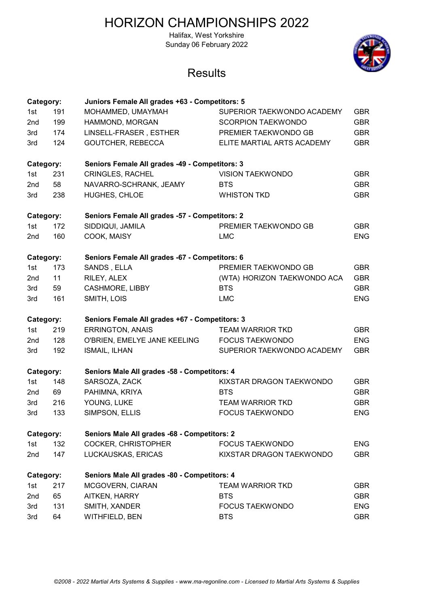Halifax, West Yorkshire Sunday 06 February 2022



| Category:       |     | Juniors Female All grades +63 - Competitors: 5 |                             |            |
|-----------------|-----|------------------------------------------------|-----------------------------|------------|
| 1st             | 191 | MOHAMMED, UMAYMAH                              | SUPERIOR TAEKWONDO ACADEMY  | <b>GBR</b> |
| 2nd             | 199 | HAMMOND, MORGAN                                | <b>SCORPION TAEKWONDO</b>   | <b>GBR</b> |
| 3rd             | 174 | LINSELL-FRASER, ESTHER                         | PREMIER TAEKWONDO GB        | <b>GBR</b> |
| 3rd             | 124 | <b>GOUTCHER, REBECCA</b>                       | ELITE MARTIAL ARTS ACADEMY  | <b>GBR</b> |
| Category:       |     | Seniors Female All grades -49 - Competitors: 3 |                             |            |
| 1st             | 231 | <b>CRINGLES, RACHEL</b>                        | <b>VISION TAEKWONDO</b>     | <b>GBR</b> |
| 2 <sub>nd</sub> | 58  | NAVARRO-SCHRANK, JEAMY                         | <b>BTS</b>                  | <b>GBR</b> |
| 3rd             | 238 | HUGHES, CHLOE                                  | <b>WHISTON TKD</b>          | <b>GBR</b> |
| Category:       |     | Seniors Female All grades -57 - Competitors: 2 |                             |            |
| 1st             | 172 | SIDDIQUI, JAMILA                               | PREMIER TAEKWONDO GB        | <b>GBR</b> |
| 2nd             | 160 | COOK, MAISY                                    | <b>LMC</b>                  | <b>ENG</b> |
| Category:       |     | Seniors Female All grades -67 - Competitors: 6 |                             |            |
| 1st             | 173 | SANDS, ELLA                                    | PREMIER TAEKWONDO GB        | <b>GBR</b> |
| 2nd             | 11  | RILEY, ALEX                                    | (WTA) HORIZON TAEKWONDO ACA | <b>GBR</b> |
| 3rd             | 59  | <b>CASHMORE, LIBBY</b>                         | <b>BTS</b>                  | <b>GBR</b> |
| 3rd             | 161 | SMITH, LOIS                                    | <b>LMC</b>                  | <b>ENG</b> |
| Category:       |     | Seniors Female All grades +67 - Competitors: 3 |                             |            |
| 1st             | 219 | <b>ERRINGTON, ANAIS</b>                        | <b>TEAM WARRIOR TKD</b>     | <b>GBR</b> |
| 2nd             | 128 | O'BRIEN, EMELYE JANE KEELING                   | <b>FOCUS TAEKWONDO</b>      | <b>ENG</b> |
| 3rd             | 192 | <b>ISMAIL, ILHAN</b>                           | SUPERIOR TAEKWONDO ACADEMY  | <b>GBR</b> |
| Category:       |     | Seniors Male All grades -58 - Competitors: 4   |                             |            |
| 1st             | 148 | SARSOZA, ZACK                                  | KIXSTAR DRAGON TAEKWONDO    | <b>GBR</b> |
| 2nd             | 69  | PAHIMNA, KRIYA                                 | <b>BTS</b>                  | <b>GBR</b> |
| 3rd             | 216 | YOUNG, LUKE                                    | <b>TEAM WARRIOR TKD</b>     | <b>GBR</b> |
| 3rd             | 133 | SIMPSON, ELLIS                                 | <b>FOCUS TAEKWONDO</b>      | <b>ENG</b> |
| Category:       |     | Seniors Male All grades -68 - Competitors: 2   |                             |            |
| 1st             | 132 | COCKER, CHRISTOPHER                            | <b>FOCUS TAEKWONDO</b>      | <b>ENG</b> |
| 2nd             | 147 | LUCKAUSKAS, ERICAS                             | KIXSTAR DRAGON TAEKWONDO    | <b>GBR</b> |
| Category:       |     | Seniors Male All grades -80 - Competitors: 4   |                             |            |
| 1st             | 217 | MCGOVERN, CIARAN                               | <b>TEAM WARRIOR TKD</b>     | <b>GBR</b> |
|                 |     |                                                |                             |            |
| 2nd             | 65  | AITKEN, HARRY                                  | <b>BTS</b>                  | <b>GBR</b> |
| 3rd             | 131 | SMITH, XANDER                                  | <b>FOCUS TAEKWONDO</b>      | <b>ENG</b> |